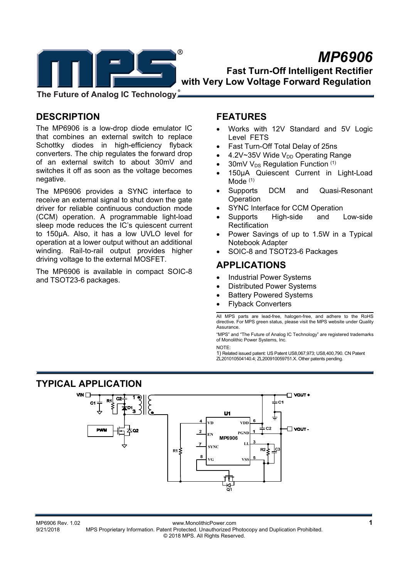

# *MP6906*  **Fast Turn-Off Intelligent Rectifier with Very Low Voltage Forward Regulation**

**The Future of Analog IC Technology**

# **DESCRIPTION**

The MP6906 is a low-drop diode emulator IC that combines an external switch to replace Schottky diodes in high-efficiency flyback converters. The chip regulates the forward drop of an external switch to about 30mV and switches it off as soon as the voltage becomes negative.

The MP6906 provides a SYNC interface to receive an external signal to shut down the gate driver for reliable continuous conduction mode (CCM) operation. A programmable light-load sleep mode reduces the IC's quiescent current to 150µA. Also, it has a low UVLO level for operation at a lower output without an additional winding. Rail-to-rail output provides higher driving voltage to the external MOSFET.

The MP6906 is available in compact SOIC-8 and TSOT23-6 packages.

## **FEATURES**

- Works with 12V Standard and 5V Logic Level FETS
- Fast Turn-Off Total Delay of 25ns
- 4.2V~35V Wide  $V_{DD}$  Operating Range
- 30mV  $V_{DS}$  Regulation Function  $(1)$
- 150µA Quiescent Current in Light-Load Mode<sup>(1)</sup>
- Supports DCM and Quasi-Resonant Operation
- SYNC Interface for CCM Operation
- Supports High-side and Low-side **Rectification**
- Power Savings of up to 1.5W in a Typical Notebook Adapter
- SOIC-8 and TSOT23-6 Packages

## **APPLICATIONS**

- Industrial Power Systems
- Distributed Power Systems
- Battery Powered Systems
- Flyback Converters

All MPS parts are lead-free, halogen-free, and adhere to the RoHS directive. For MPS green status, please visit the MPS website under Quality Assurance.

"MPS" and "The Future of Analog IC Technology" are registered trademarks of Monolithic Power Systems, Inc. NOTE:

1) Related issued patent: US Patent US8,067,973; US8,400,790. CN Patent ZL201010504140.4; ZL200910059751.X. Other patents pending.

## **TYPICAL APPLICATION**



01 www.MonolithicPower.com<br>1-9/21/2018 MPS Proprietary Information. Patent Protected. Unauthorized Photocopy and Duplication Prohibited. MPS Proprietary Information. Patent Protected. Unauthorized Photocopy and Duplication Prohibited. © 2018 MPS. All Rights Reserved.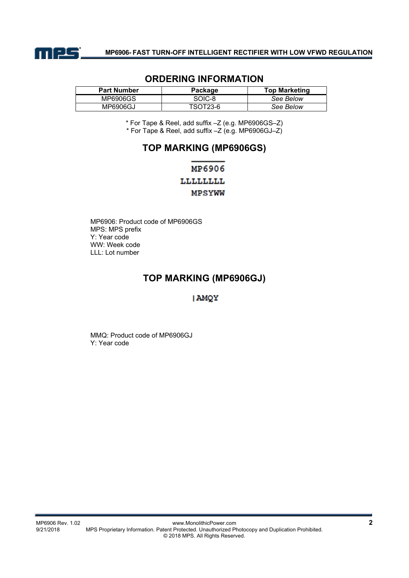

| <b>Part Number</b> | Package  | <b>Top Marketing</b> |
|--------------------|----------|----------------------|
| MP6906GS           | SOIC-8   | See Below            |
| MP6906GJ           | TSOT23-6 | See Below            |

## **ORDERING INFORMATION**

\* For Tape & Reel, add suffix –Z (e.g. MP6906GS–Z) \* For Tape & Reel, add suffix –Z (e.g. MP6906GJ–Z)

## **TOP MARKING (MP6906GS)**

# MP6906 LLLLLLLL **MPSYWW**

MP6906: Product code of MP6906GS MPS: MPS prefix Y: Year code WW: Week code LLL: Lot number

## **TOP MARKING (MP6906GJ)**

## **AMQY**

MMQ: Product code of MP6906GJ Y: Year code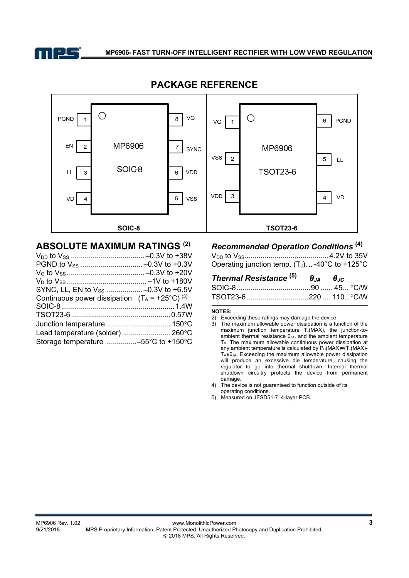



## **PACKAGE REFERENCE**

## **ABSOLUTE MAXIMUM RATINGS (2)**

| Continuous power dissipation $(T_A = +25^{\circ}C)^{(3)}$ |  |
|-----------------------------------------------------------|--|
|                                                           |  |
|                                                           |  |
|                                                           |  |
| Lead temperature (solder) 260°C                           |  |
| Storage temperature -55°C to +150°C                       |  |

# *Recommended Operation Conditions* **(4)**

VDD to VSS.......................................... 4.2V to 35V Operating junction temp.  $(T_J)$ ...-40°C to +125°C

| <b>Thermal Resistance</b> $^{(5)}$ $\theta_{14}$ $\theta_{16}$ |  |
|----------------------------------------------------------------|--|
|                                                                |  |
|                                                                |  |

#### **NOTES:**

3) The maximum allowable power dissipation is a function of the maximum junction temperature  $T_J(MAX)$ , the junction-toambient thermal resistance  $\theta_{JA}$ , and the ambient temperature TA. The maximum allowable continuous power dissipation at any ambient temperature is calculated by  $P_D(MAX)=(T_J(MAX)-T_J(MAX)-T_J(MAX))$ TA)/θJA. Exceeding the maximum allowable power dissipation will produce an excessive die temperature, causing the regulator to go into thermal shutdown. Internal thermal shutdown circuitry protects the device from permanent damage.

4) The device is not guaranteed to function outside of its operating conditions.

5) Measured on JESD51-7, 4-layer PCB.

<sup>2)</sup> Exceeding these ratings may damage the device.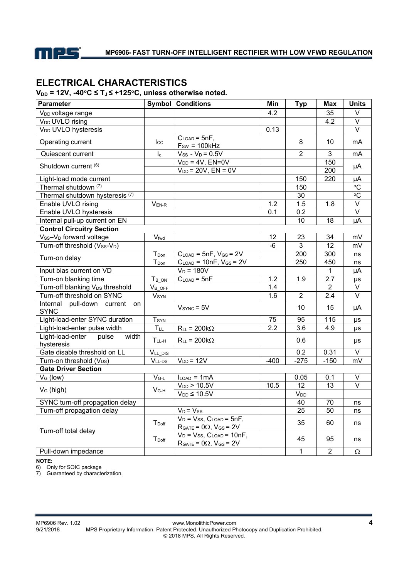

# **ELECTRICAL CHARACTERISTICS**

 $V_{DD}$  = 12V, -40<sup>°</sup>C ≤ T<sub>J</sub> ≤ +125<sup>°</sup>C, unless otherwise noted.

| Parameter                                        |                         | <b>Symbol Conditions</b>                                                     | Min    | <b>Typ</b>            | <b>Max</b>              | <b>Units</b>      |
|--------------------------------------------------|-------------------------|------------------------------------------------------------------------------|--------|-----------------------|-------------------------|-------------------|
| V <sub>DD</sub> voltage range                    |                         |                                                                              | 4.2    |                       | 35                      | V                 |
| V <sub>DD</sub> UVLO rising                      |                         |                                                                              |        |                       | 4.2                     | $\vee$            |
| V <sub>DD</sub> UVLO hysteresis                  |                         |                                                                              | 0.13   |                       |                         | $\vee$            |
| Operating current                                | $_{\rm lcc}$            | $C_{LOAD} = 5nF,$<br>$F_{SW} = 100kHz$                                       |        | 8                     | 10                      | mA                |
| Quiescent current                                | $I_q$                   | $V_{SS} - V_D = 0.5V$                                                        |        | $\overline{2}$        | $\mathfrak{S}$          | mA                |
| Shutdown current (6)                             |                         | $V_{DD} = 4V$ , $EN=0V$<br>$V_{DD}$ = 20V, $EN = 0V$                         |        |                       | 150<br>$\overline{200}$ | μA                |
| Light-load mode current                          |                         |                                                                              |        | 150                   | 220                     | μA                |
| Thermal shutdown (7)                             |                         |                                                                              |        | 150                   |                         | °C                |
| Thermal shutdown hysteresis <sup>(7)</sup>       |                         |                                                                              |        | 30                    |                         | $\overline{C}$    |
| Enable UVLO rising                               | $V_{EN-R}$              |                                                                              | 1.2    | 1.5                   | 1.8                     | $\overline{\vee}$ |
| Enable UVLO hysteresis                           |                         |                                                                              | 0.1    | 0.2                   |                         | $\overline{\vee}$ |
| Internal pull-up current on EN                   |                         |                                                                              |        | 10                    | 18                      | μA                |
| <b>Control Circuitry Section</b>                 |                         |                                                                              |        |                       |                         |                   |
| Vss-V <sub>D</sub> forward voltage               | Vfwd                    |                                                                              | 12     | 23                    | 34                      | mV                |
| Turn-off threshold (Vss-VD)                      |                         |                                                                              | $-6$   | $\mathfrak{S}$        | 12                      | mV                |
|                                                  | T <sub>Don</sub>        | $CLOAD = 5nF, VGS = 2V$                                                      |        | 200                   | 300                     | ns                |
| Turn-on delay                                    | $T_{Don}$               | $C_{\text{LOAD}}$ = 10nF, $V_{\text{GS}}$ = 2V                               |        | 250                   | 450                     | ns                |
| Input bias current on VD                         |                         | $V_D = 180V$                                                                 |        |                       | $\mathbf{1}$            | μA                |
| Turn-on blanking time                            | $T_B$ on                | $C_{\text{LOAD}} = 5nF$                                                      | 1.2    | 1.9                   | $\overline{2.7}$        | μs                |
| Turn-off blanking V <sub>DS</sub> threshold      | $V_B$ off               |                                                                              | 1.4    |                       | $\overline{2}$          | V                 |
| Turn-off threshold on SYNC                       | <b>V</b> syn            |                                                                              | 1.6    | 2                     | 2.4                     | $\overline{\vee}$ |
| Internal pull-down current on<br><b>SYNC</b>     |                         | $VSYNC = 5V$                                                                 |        | 10                    | 15                      | μA                |
| Light-load-enter SYNC duration                   | <b>T</b> <sub>SYN</sub> |                                                                              | 75     | 95                    | 115                     | μs                |
| Light-load-enter pulse width                     | $T_{LL}$                | $R_{LL}$ = 200k $\Omega$                                                     | 2.2    | $\overline{3.6}$      | 4.9                     | μs                |
| Light-load-enter<br>pulse<br>width<br>hysteresis | $TLL-H$                 | $R_{LL}$ = 200k $\Omega$                                                     |        | 0.6                   |                         | μs                |
| Gate disable threshold on LL                     | VLL DIS                 |                                                                              |        | 0.2                   | 0.31                    | $\vee$            |
| Turn-on threshold (V <sub>DS</sub> )             | $V_{LL-DS}$             | $V_{DD} = 12V$                                                               | $-400$ | $-275$                | $-150$                  | mV                |
| <b>Gate Driver Section</b>                       |                         |                                                                              |        |                       |                         |                   |
| V <sub>G</sub> (low)                             | $V_{G-L}$               | $I_{LOAD} = 1mA$                                                             |        | 0.05                  | 0.1                     | V                 |
| V <sub>G</sub> (high)                            | $V_{G-H}$               | $V_{DD}$ > 10.5V<br>$V_{DD} \leq 10.5V$                                      | 10.5   | 12<br>V <sub>DD</sub> | 13                      | $\overline{\vee}$ |
| SYNC turn-off propagation delay                  |                         |                                                                              |        | 40                    | 70                      | ns                |
| Turn-off propagation delay                       |                         | $V_D = V_{SS}$                                                               |        | 25                    | 50                      | ns                |
| Turn-off total delay                             | T <sub>Doff</sub>       | $V_D = V_{SS}$ , $C_{LOAD} = 5nF$ ,<br>$R_{GATE} = 0\Omega$ , $V_{GS} = 2V$  |        | 35                    | 60                      | ns                |
|                                                  | T <sub>Doff</sub>       | $V_D = V_{SS}$ , $C_{LOAD} = 10nF$ ,<br>$R_{GATE} = 0\Omega$ , $V_{GS} = 2V$ |        | 45                    | 95                      | ns                |
| Pull-down impedance                              |                         |                                                                              |        | $\mathbf{1}$          | $\overline{2}$          | Ω                 |

**NOTE:** 

6) Only for SOIC package

7) Guaranteed by characterization.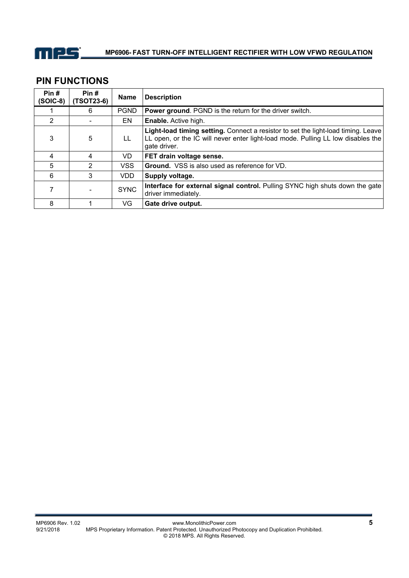

# **PIN FUNCTIONS**

| Pin#<br>$(SOIC-8)$ | Pin#<br>(TSOT23-6) | <b>Name</b> | <b>Description</b>                                                                                                                                                                    |
|--------------------|--------------------|-------------|---------------------------------------------------------------------------------------------------------------------------------------------------------------------------------------|
|                    | 6                  | <b>PGND</b> | <b>Power ground.</b> PGND is the return for the driver switch.                                                                                                                        |
| 2                  |                    | EN          | <b>Enable.</b> Active high.                                                                                                                                                           |
| 3                  | 5                  | LL          | Light-load timing setting. Connect a resistor to set the light-load timing. Leave<br>LL open, or the IC will never enter light-load mode. Pulling LL low disables the<br>gate driver. |
| 4                  | 4                  | VD.         | FET drain voltage sense.                                                                                                                                                              |
| 5                  | 2                  | <b>VSS</b>  | <b>Ground.</b> VSS is also used as reference for VD.                                                                                                                                  |
| 6                  | 3                  | <b>VDD</b>  | Supply voltage.                                                                                                                                                                       |
|                    |                    | <b>SYNC</b> | Interface for external signal control. Pulling SYNC high shuts down the gate<br>driver immediately.                                                                                   |
| 8                  |                    | VG          | Gate drive output.                                                                                                                                                                    |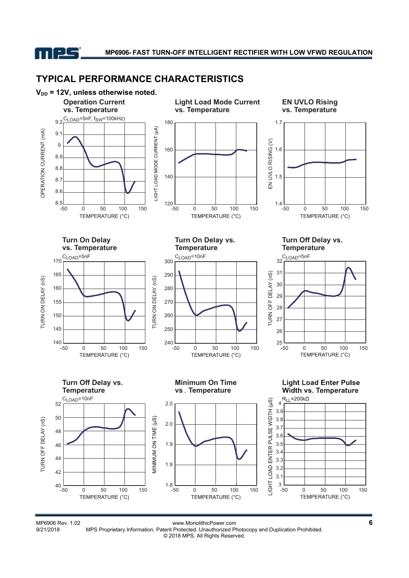mes

# **TYPICAL PERFORMANCE CHARACTERISTICS**



MP6906 Rev. 1.02<br>9/21/2018 MPS Proprietary Information. Patent Protected. Unauthorized Photocopy and Duplication Prohibited. MPS Proprietary Information. Patent Protected. Unauthorized Photocopy and Duplication Prohibited. © 2018 MPS. All Rights Reserved.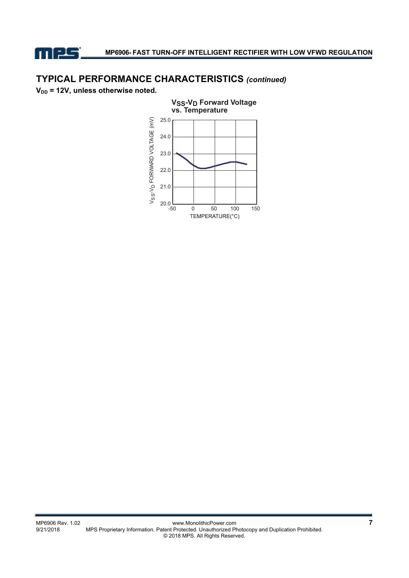

# **TYPICAL PERFORMANCE CHARACTERISTICS** *(continued)*

**V<sub>DD</sub>** = 12V, unless otherwise noted.

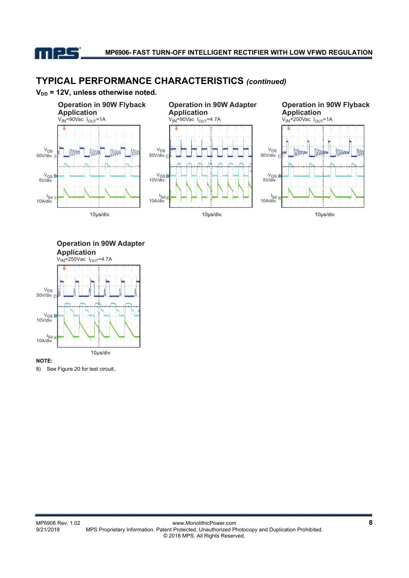

# **TYPICAL PERFORMANCE CHARACTERISTICS** *(continued)*





**Operation in 90W Adapter Application**



8) See Figure 20 for test circuit.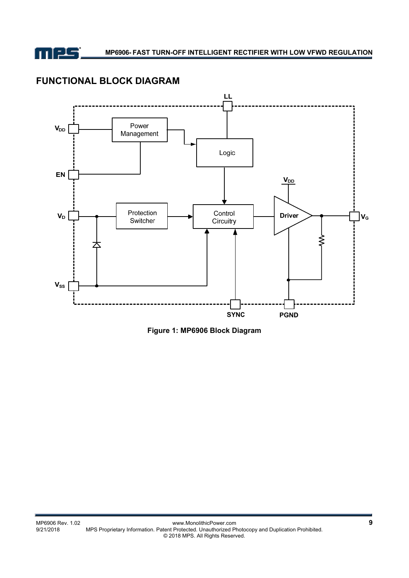

# **FUNCTIONAL BLOCK DIAGRAM**



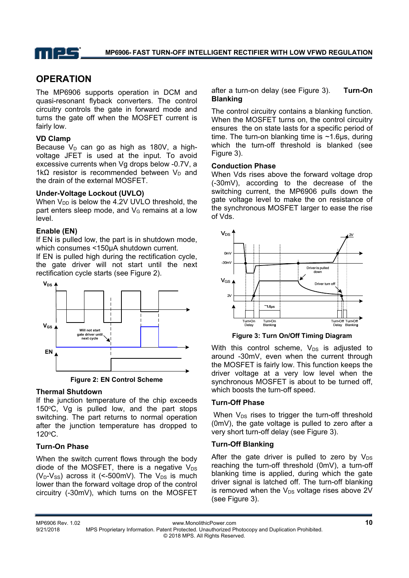

# **OPERATION**

The MP6906 supports operation in DCM and quasi-resonant flyback converters. The control circuitry controls the gate in forward mode and turns the gate off when the MOSFET current is fairly low.

## **VD Clamp**

Because  $V_D$  can go as high as 180V, a highvoltage JFET is used at the input. To avoid excessive currents when Vg drops below -0.7V, a 1k $\Omega$  resistor is recommended between V<sub>D</sub> and the drain of the external MOSFET.

### **Under-Voltage Lockout (UVLO)**

When  $V_{DD}$  is below the 4.2V UVLO threshold, the part enters sleep mode, and  $V<sub>G</sub>$  remains at a low level.

### **Enable (EN)**

If EN is pulled low, the part is in shutdown mode, which consumes <150µA shutdown current.

If EN is pulled high during the rectification cycle, the gate driver will not start until the next rectification cycle starts (see Figure 2).



**Figure 2: EN Control Scheme**

## **Thermal Shutdown**

If the junction temperature of the chip exceeds 150°C, Vg is pulled low, and the part stops switching. The part returns to normal operation after the junction temperature has dropped to 120oC.

## **Turn-On Phase**

When the switch current flows through the body diode of the MOSFET, there is a negative  $V_{DS}$ ( $V_D-V_{SS}$ ) across it (<-500mV). The  $V_{DS}$  is much lower than the forward voltage drop of the control circuitry (-30mV), which turns on the MOSFET after a turn-on delay (see Figure 3). **Turn-On Blanking** 

The control circuitry contains a blanking function. When the MOSFET turns on, the control circuitry ensures the on state lasts for a specific period of time. The turn-on blanking time is  $\sim$ 1.6us, during which the turn-off threshold is blanked (see Figure 3).

### **Conduction Phase**

When Vds rises above the forward voltage drop (-30mV), according to the decrease of the switching current, the MP6906 pulls down the gate voltage level to make the on resistance of the synchronous MOSFET larger to ease the rise of Vds.



**Figure 3: Turn On/Off Timing Diagram** 

With this control scheme,  $V_{DS}$  is adjusted to around -30mV, even when the current through the MOSFET is fairly low. This function keeps the driver voltage at a very low level when the synchronous MOSFET is about to be turned off, which boosts the turn-off speed.

## **Turn-Off Phase**

When  $V_{DS}$  rises to trigger the turn-off threshold (0mV), the gate voltage is pulled to zero after a very short turn-off delay (see Figure 3).

## **Turn-Off Blanking**

After the gate driver is pulled to zero by  $V_{DS}$ reaching the turn-off threshold (0mV), a turn-off blanking time is applied, during which the gate driver signal is latched off. The turn-off blanking is removed when the  $V_{DS}$  voltage rises above 2V (see Figure 3).

MP6906 Rev. 1.02 www.MonolithicPower.com **10** 9/21/2018 MPS Proprietary Information. Patent Protected. Unauthorized Photocopy and Duplication Prohibited. © 2018 MPS. All Rights Reserved.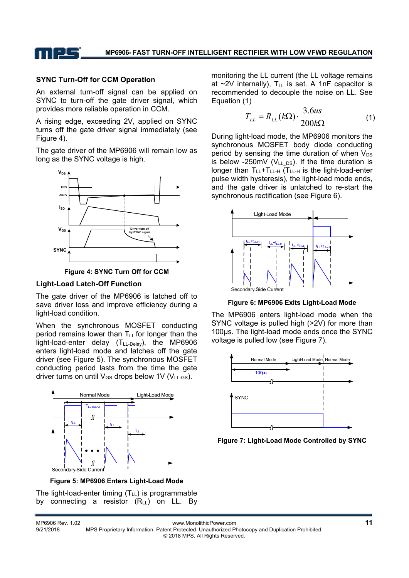

### **SYNC Turn-Off for CCM Operation**

An external turn-off signal can be applied on SYNC to turn-off the gate driver signal, which provides more reliable operation in CCM.

A rising edge, exceeding 2V, applied on SYNC turns off the gate driver signal immediately (see Figure 4).

The gate driver of the MP6906 will remain low as long as the SYNC voltage is high.





#### **Light-Load Latch-Off Function**

The gate driver of the MP6906 is latched off to save driver loss and improve efficiency during a light-load condition.

When the synchronous MOSFET conducting period remains lower than  $T_{LL}$  for longer than the light-load-enter delay (T<sub>LL-Delay</sub>), the MP6906 enters light-load mode and latches off the gate driver (see Figure 5). The synchronous MOSFET conducting period lasts from the time the gate driver turns on until  $V_{GS}$  drops below 1V ( $V_{LL-GS}$ ).



**Figure 5: MP6906 Enters Light-Load Mode** 

The light-load-enter timing  $(T_{LL})$  is programmable by connecting a resistor  $(R_{LL})$  on LL. By monitoring the LL current (the LL voltage remains at  $\sim$ 2V internally),  $T_{LL}$  is set. A 1nF capacitor is recommended to decouple the noise on LL. See Equation (1)

$$
T_{LL} = R_{LL}(k\Omega) \cdot \frac{3.6us}{200k\Omega} \tag{1}
$$

During light-load mode, the MP6906 monitors the synchronous MOSFET body diode conducting period by sensing the time duration of when  $V_{DS}$ is below -250mV ( $V_{LL\,DS}$ ). If the time duration is longer than  $T_{LL}+T_{LL-H}$  (T<sub>LL-H</sub> is the light-load-enter pulse width hysteresis), the light-load mode ends, and the gate driver is unlatched to re-start the synchronous rectification (see Figure 6).



**Figure 6: MP6906 Exits Light-Load Mode** 

The MP6906 enters light-load mode when the SYNC voltage is pulled high (>2V) for more than 100µs. The light-load mode ends once the SYNC voltage is pulled low (see Figure 7).



**Figure 7: Light-Load Mode Controlled by SYNC**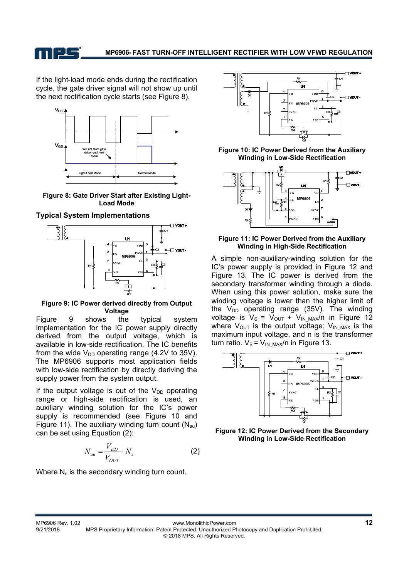

If the light-load mode ends during the rectification cycle, the gate driver signal will not show up until the next rectification cycle starts (see Figure 8).



**Figure 8: Gate Driver Start after Existing Light-Load Mode** 

### **Typical System Implementations**



**Figure 9: IC Power derived directly from Output Voltage** 

Figure 9 shows the typical system implementation for the IC power supply directly derived from the output voltage, which is available in low-side rectification. The IC benefits from the wide  $V_{DD}$  operating range (4.2V to 35V). The MP6906 supports most application fields with low-side rectification by directly deriving the supply power from the system output.

If the output voltage is out of the  $V_{DD}$  operating range or high-side rectification is used, an auxiliary winding solution for the IC's power supply is recommended (see Figure 10 and Figure 11). The auxiliary winding turn count  $(N_{\text{au}})$ can be set using Equation (2):

$$
N_{au} = \frac{V_{DD}}{V_{OUT}} \cdot N_s \tag{2}
$$

Where N<sub>s</sub> is the secondary winding turn count.



**Figure 10: IC Power Derived from the Auxiliary Winding in Low-Side Rectification** 



#### **Figure 11: IC Power Derived from the Auxiliary Winding in High-Side Rectification**

A simple non-auxiliary-winding solution for the IC's power supply is provided in Figure 12 and Figure 13. The IC power is derived from the secondary transformer winding through a diode. When using this power solution, make sure the winding voltage is lower than the higher limit of the  $V_{DD}$  operating range (35V). The winding voltage is  $V_s = V_{OUT} + V_{IN\_MAX}/n$  in Figure 12 where  $V_{\text{OUT}}$  is the output voltage;  $V_{\text{IN MAX}}$  is the maximum input voltage, and n is the transformer turn ratio.  $V_S = V_{INMAX}/n$  in Figure 13.



**Figure 12: IC Power Derived from the Secondary Winding in Low-Side Rectification**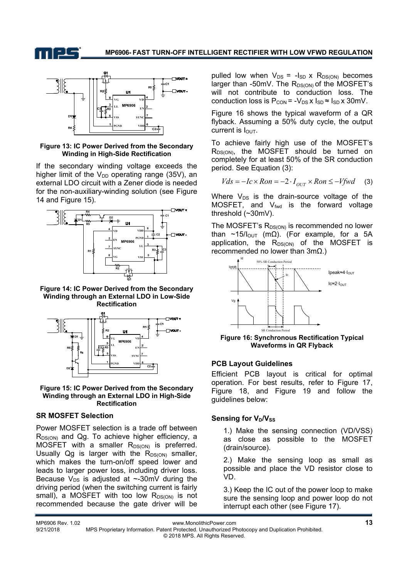

#### **Figure 13: IC Power Derived from the Secondary Winding in High-Side Rectification**

If the secondary winding voltage exceeds the higher limit of the  $V_{DD}$  operating range (35V), an external LDO circuit with a Zener diode is needed for the non-auxiliary-winding solution (see Figure 14 and Figure 15).



**Figure 14: IC Power Derived from the Secondary Winding through an External LDO in Low-Side Rectification** 



#### **Figure 15: IC Power Derived from the Secondary Winding through an External LDO in High-Side Rectification**

### **SR MOSFET Selection**

Power MOSFET selection is a trade off between  $R_{DS(ON)}$  and Qg. To achieve higher efficiency, a MOSFET with a smaller  $R_{DS(ON)}$  is preferred. Usually  $Qg$  is larger with the  $R_{DS(ON)}$  smaller, which makes the turn-on/off speed lower and leads to larger power loss, including driver loss. Because  $V_{DS}$  is adjusted at ~-30mV during the driving period (when the switching current is fairly small), a MOSFET with too low  $R_{DS(ON)}$  is not recommended because the gate driver will be

pulled low when  $V_{DS} = -I_{SD} \times R_{DS(ON)}$  becomes larger than  $-50$ mV. The  $R_{DS(ON)}$  of the MOSFET's will not contribute to conduction loss. The conduction loss is  $P_{CON} = -V_{DS} x I_{SD} \approx I_{SD} x 30$  mV.

Figure 16 shows the typical waveform of a QR flyback. Assuming a 50% duty cycle, the output current is  $I_{\text{OUT}}$ .

To achieve fairly high use of the MOSFET's  $R_{DS(ON)}$ , the MOSFET should be turned on completely for at least 50% of the SR conduction period. See Equation (3):

$$
Vds = -Ic \times Ron = -2 \cdot I_{OUT} \times Ron \le -Vfwd \quad (3)
$$

Where  $V_{DS}$  is the drain-source voltage of the MOSFET, and  $V_{fwd}$  is the forward voltage threshold (~30mV).

The MOSFET's  $R_{DS(ON)}$  is recommended no lower than ~15/ $I_{\text{OUT}}$  (m $\Omega$ ). (For example, for a 5A application, the  $R_{DS(ON)}$  of the MOSFET is recommended no lower than  $3mΩ$ .)



 **Figure 16: Synchronous Rectification Typical Waveforms in QR Flyback** 

### **PCB Layout Guidelines**

Efficient PCB layout is critical for optimal operation. For best results, refer to Figure 17, Figure 18, and Figure 19 and follow the guidelines below:

## **Sensing for V<sub>D</sub>/V<sub>SS</sub>**

1.) Make the sensing connection (VD/VSS) as close as possible to the MOSFET (drain/source).

2.) Make the sensing loop as small as possible and place the VD resistor close to VD.

3.) Keep the IC out of the power loop to make sure the sensing loop and power loop do not interrupt each other (see Figure 17).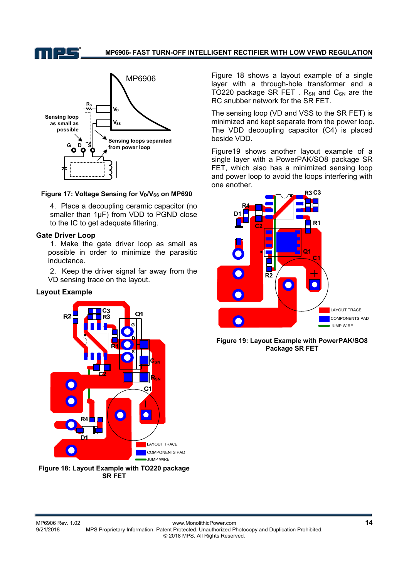n pe



#### Figure 17: Voltage Sensing for V<sub>D</sub>/V<sub>SS</sub> on MP690

4. Place a decoupling ceramic capacitor (no smaller than 1µF) from VDD to PGND close to the IC to get adequate filtering.

### **Gate Driver Loop**

 1. Make the gate driver loop as small as possible in order to minimize the parasitic inductance.

 2. Keep the driver signal far away from the VD sensing trace on the layout.

### **Layout Example**



**Figure 18: Layout Example with TO220 package SR FET**

Figure 18 shows a layout example of a single layer with a through-hole transformer and a TO220 package SR FET .  $R_{SN}$  and  $C_{SN}$  are the RC snubber network for the SR FET.

The sensing loop (VD and VSS to the SR FET) is minimized and kept separate from the power loop. The VDD decoupling capacitor (C4) is placed beside VDD.

Figure19 shows another layout example of a single layer with a PowerPAK/SO8 package SR FET, which also has a minimized sensing loop and power loop to avoid the loops interfering with one another.



**Figure 19: Layout Example with PowerPAK/SO8 Package SR FET**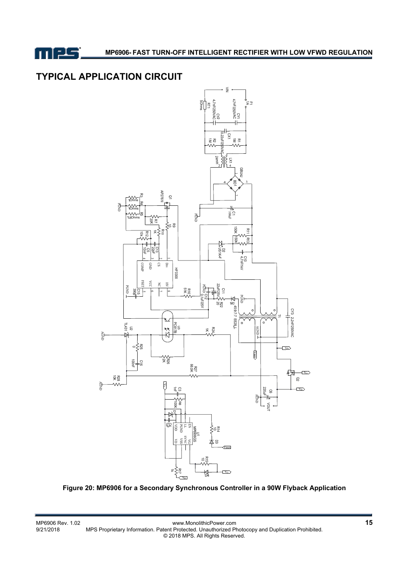

# **TYPICAL APPLICATION CIRCUIT**



**Figure 20: MP6906 for a Secondary Synchronous Controller in a 90W Flyback Application**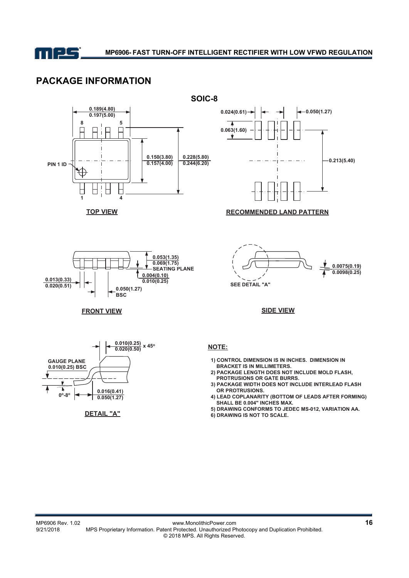

# **PACKAGE INFORMATION**